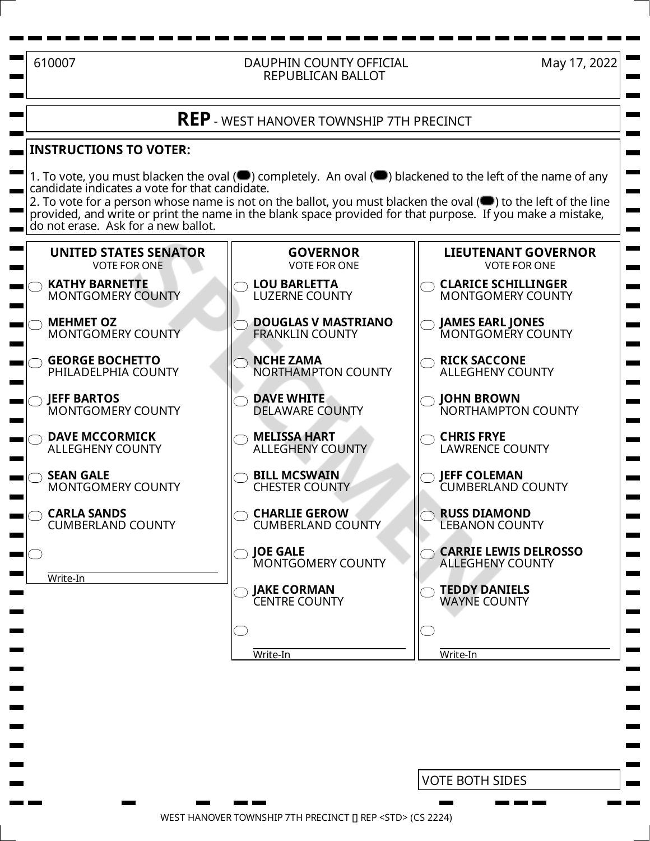## 610007 DAUPHIN COUNTY OFFICIAL REPUBLICAN BALLOT

May 17, 2022

## **REP**- WEST HANOVER TOWNSHIP 7TH PRECINCT

## **INSTRUCTIONS TO VOTER:**

1. To vote, you must blacken the oval ( $\blacksquare$ ) completely. An oval ( $\blacksquare$ ) blackened to the left of the name of any candidate indicates a vote for that candidate.

2. To vote for a person whose name is not on the ballot, you must blacken the oval  $($ **)** to the left of the line provided, and write or print the name in the blank space provided for that purpose. If you make a mistake, do not erase. Ask for a new ballot.



VOTE BOTH SIDES